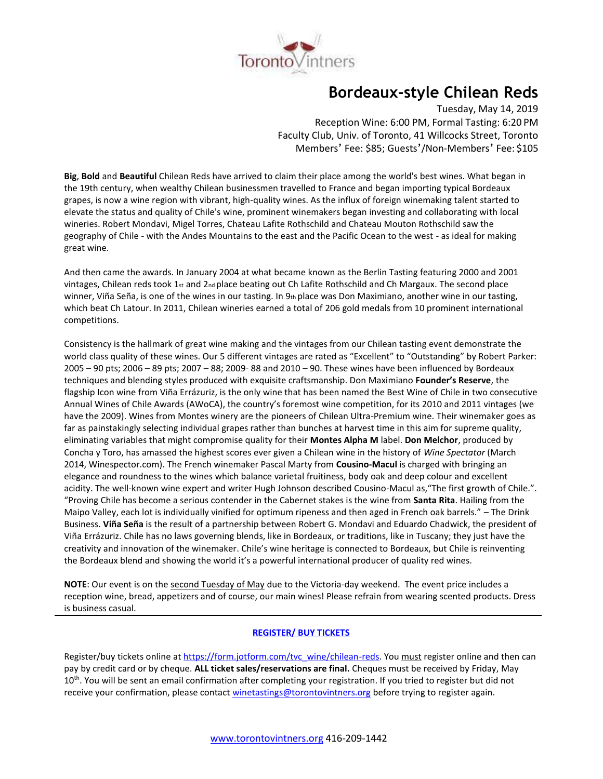

# **Bordeaux-style Chilean Reds**

Tuesday, May 14, 2019 Reception Wine: 6:00 PM, Formal Tasting: 6:20 PM Faculty Club, Univ. of Toronto, 41 Willcocks Street, Toronto Members' Fee: \$85; Guests'/Non-Members' Fee: \$105

**Big**, **Bold** and **Beautiful** Chilean Reds have arrived to claim their place among the world's best wines. What began in the 19th century, when wealthy Chilean businessmen travelled to France and began importing typical Bordeaux grapes, is now a wine region with vibrant, high-quality wines. As the influx of foreign winemaking talent started to elevate the status and quality of Chile's wine, prominent winemakers began investing and collaborating with local wineries. Robert Mondavi, Migel Torres, Chateau Lafite Rothschild and Chateau Mouton Rothschild saw the geography of Chile - with the Andes Mountains to the east and the Pacific Ocean to the west - as ideal for making great wine.

And then came the awards. In January 2004 at what became known as the Berlin Tasting featuring 2000 and 2001 vintages, Chilean reds took 1 $st$  and 2<sub>nd</sub> place beating out Ch Lafite Rothschild and Ch Margaux. The second place winner, Viña Seña, is one of the wines in our tasting. In 9th place was Don Maximiano, another wine in our tasting, which beat Ch Latour. In 2011, Chilean wineries earned a total of 206 gold medals from 10 prominent international competitions.

Consistency is the hallmark of great wine making and the vintages from our Chilean tasting event demonstrate the world class quality of these wines. Our 5 different vintages are rated as "Excellent" to "Outstanding" by Robert Parker: 2005 – 90 pts; 2006 – 89 pts; 2007 – 88; 2009- 88 and 2010 – 90. These wines have been influenced by Bordeaux techniques and blending styles produced with exquisite craftsmanship. Don Maximiano **Founder's Reserve**, the flagship Icon wine from Viña Errázuriz, is the only wine that has been named the Best Wine of Chile in two consecutive Annual Wines of Chile Awards (AWoCA), the country's foremost wine competition, for its 2010 and 2011 vintages (we have the 2009). Wines from Montes winery are the pioneers of Chilean Ultra-Premium wine. Their winemaker goes as far as painstakingly selecting individual grapes rather than bunches at harvest time in this aim for supreme quality, eliminating variables that might compromise quality for their **Montes Alpha M** label. **Don Melchor**, produced by Concha y Toro, has amassed the highest scores ever given a Chilean wine in the history of *Wine Spectator* (March 2014, Winespector.com). The French winemaker Pascal Marty from **Cousino-Macul** is charged with bringing an elegance and roundness to the wines which balance varietal fruitiness, body oak and deep colour and excellent acidity. The well-known wine expert and writer Hugh Johnson described Cousino-Macul as,"The first growth of Chile.". "Proving Chile has become a serious contender in the Cabernet stakes is the wine from **Santa Rita**. Hailing from the Maipo Valley, each lot is individually vinified for optimum ripeness and then aged in French oak barrels." – The Drink Business. **Viña Seña** is the result of a partnership between Robert G. Mondavi and Eduardo Chadwick, the president of Viña Errázuriz. Chile has no laws governing blends, like in Bordeaux, or traditions, like in Tuscany; they just have the creativity and innovation of the winemaker. Chile's wine heritage is connected to Bordeaux, but Chile is reinventing the Bordeaux blend and showing the world it's a powerful international producer of quality red wines.

**NOTE**: Our event is on the second Tuesday of May due to the Victoria-day weekend. The event price includes a reception wine, bread, appetizers and of course, our main wines! Please refrain from wearing scented products. Dress is business casual.

## **[REGISTER/ BUY TICKETS](https://form.jotform.com/tvc_wine/chilean-reds)**

Register/buy tickets online at [https://form.jotform.com/tvc\\_wine/chilean-reds.](https://form.jotform.com/tvc_wine/chilean-reds) You must register online and then can pay by credit card or by cheque. **ALL ticket sales/reservations are final.** Cheques must be received by Friday, May  $10<sup>th</sup>$ . You will be sent an email confirmation after completing your registration. If you tried to register but did not receive your confirmation, please contact [winetastings@torontovintners.org](mailto:winetastings@torontovintners.org) before trying to register again.